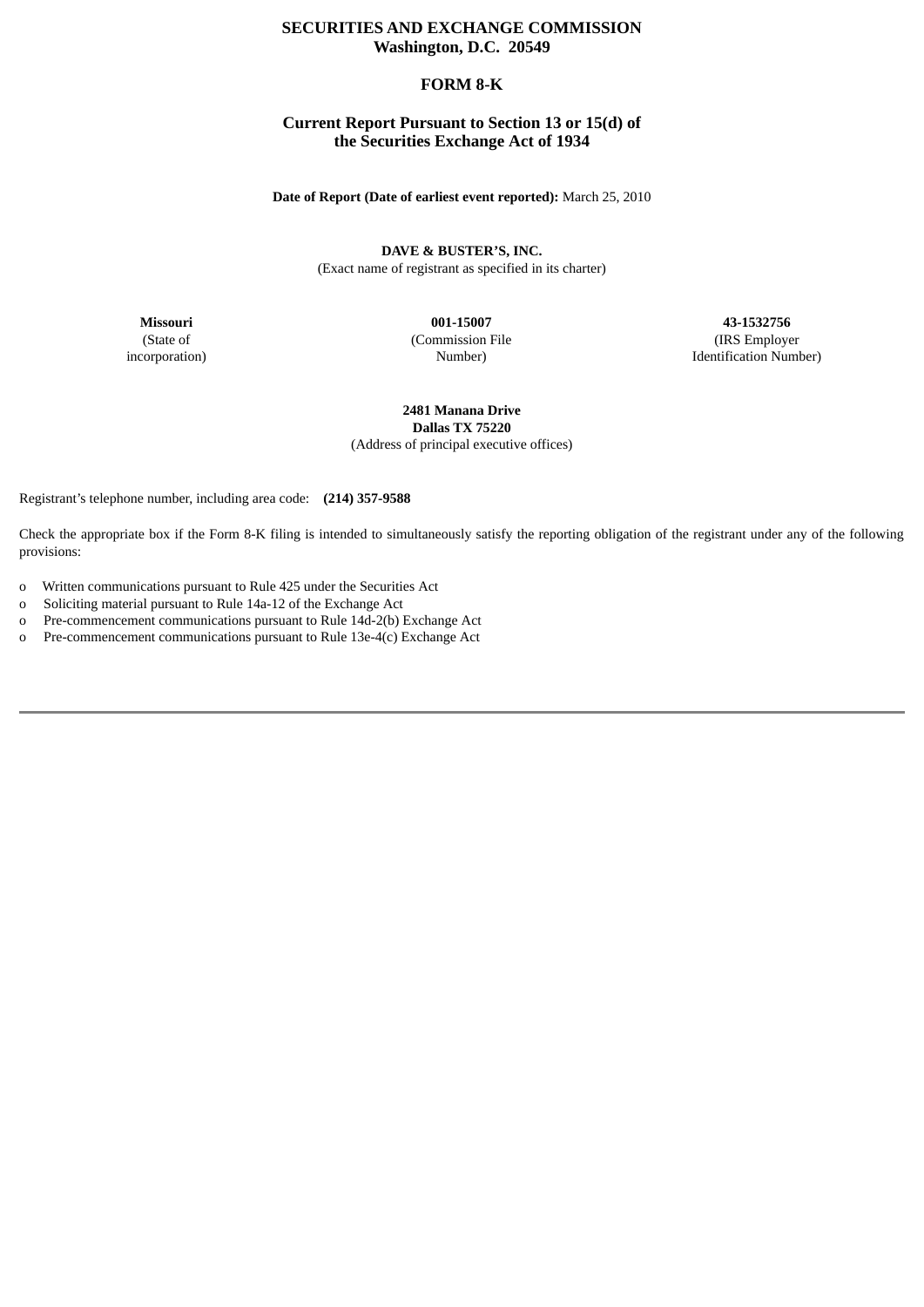# **SECURITIES AND EXCHANGE COMMISSION Washington, D.C. 20549**

## **FORM 8-K**

## **Current Report Pursuant to Section 13 or 15(d) of the Securities Exchange Act of 1934**

**Date of Report (Date of earliest event reported):** March 25, 2010

**DAVE & BUSTER'S, INC.** (Exact name of registrant as specified in its charter)

**Missouri** (State of incorporation)

**001-15007** (Commission File Number)

**43-1532756** (IRS Employer Identification Number)

**2481 Manana Drive Dallas TX 75220** (Address of principal executive offices)

Registrant's telephone number, including area code: **(214) 357-9588**

Check the appropriate box if the Form 8-K filing is intended to simultaneously satisfy the reporting obligation of the registrant under any of the following provisions:

- o Written communications pursuant to Rule 425 under the Securities Act
- o Soliciting material pursuant to Rule 14a-12 of the Exchange Act
- o Pre-commencement communications pursuant to Rule 14d-2(b) Exchange Act
- o Pre-commencement communications pursuant to Rule 13e-4(c) Exchange Act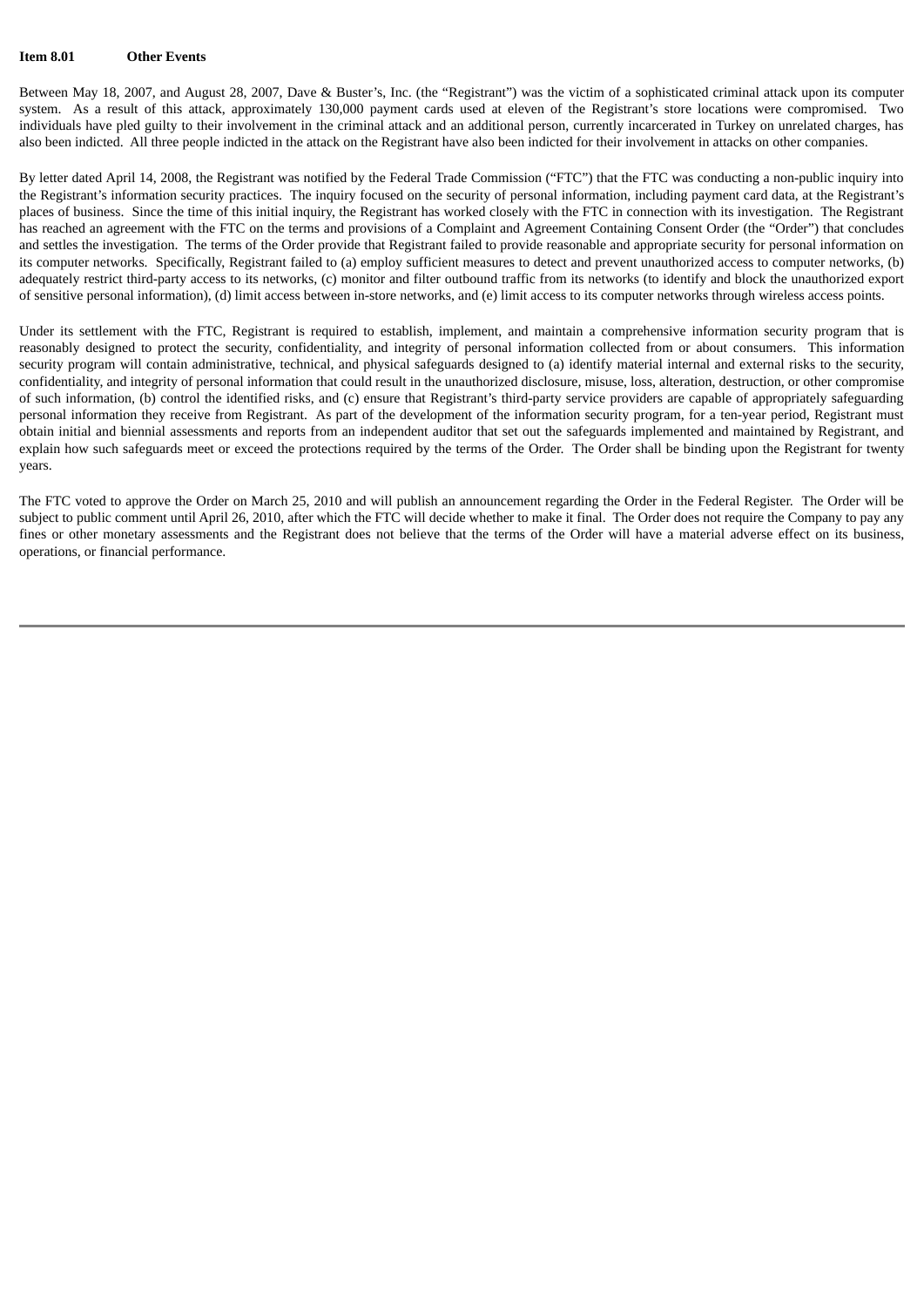### **Item 8.01 Other Events**

Between May 18, 2007, and August 28, 2007, Dave & Buster's, Inc. (the "Registrant") was the victim of a sophisticated criminal attack upon its computer system. As a result of this attack, approximately 130,000 payment cards used at eleven of the Registrant's store locations were compromised. Two individuals have pled guilty to their involvement in the criminal attack and an additional person, currently incarcerated in Turkey on unrelated charges, has also been indicted. All three people indicted in the attack on the Registrant have also been indicted for their involvement in attacks on other companies.

By letter dated April 14, 2008, the Registrant was notified by the Federal Trade Commission ("FTC") that the FTC was conducting a non-public inquiry into the Registrant's information security practices. The inquiry focused on the security of personal information, including payment card data, at the Registrant's places of business. Since the time of this initial inquiry, the Registrant has worked closely with the FTC in connection with its investigation. The Registrant has reached an agreement with the FTC on the terms and provisions of a Complaint and Agreement Containing Consent Order (the "Order") that concludes and settles the investigation. The terms of the Order provide that Registrant failed to provide reasonable and appropriate security for personal information on its computer networks. Specifically, Registrant failed to (a) employ sufficient measures to detect and prevent unauthorized access to computer networks, (b) adequately restrict third-party access to its networks, (c) monitor and filter outbound traffic from its networks (to identify and block the unauthorized export of sensitive personal information), (d) limit access between in-store networks, and (e) limit access to its computer networks through wireless access points.

Under its settlement with the FTC, Registrant is required to establish, implement, and maintain a comprehensive information security program that is reasonably designed to protect the security, confidentiality, and integrity of personal information collected from or about consumers. This information security program will contain administrative, technical, and physical safeguards designed to (a) identify material internal and external risks to the security, confidentiality, and integrity of personal information that could result in the unauthorized disclosure, misuse, loss, alteration, destruction, or other compromise of such information, (b) control the identified risks, and (c) ensure that Registrant's third-party service providers are capable of appropriately safeguarding personal information they receive from Registrant. As part of the development of the information security program, for a ten-year period, Registrant must obtain initial and biennial assessments and reports from an independent auditor that set out the safeguards implemented and maintained by Registrant, and explain how such safeguards meet or exceed the protections required by the terms of the Order. The Order shall be binding upon the Registrant for twenty years.

The FTC voted to approve the Order on March 25, 2010 and will publish an announcement regarding the Order in the Federal Register. The Order will be subject to public comment until April 26, 2010, after which the FTC will decide whether to make it final. The Order does not require the Company to pay any fines or other monetary assessments and the Registrant does not believe that the terms of the Order will have a material adverse effect on its business, operations, or financial performance.